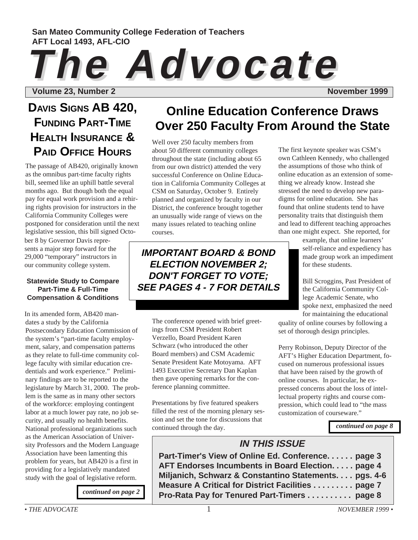### **San Mateo Community College Federation of Teachers AFT Local 1493, AFL-CIO**

# **The Advocate The Advocate**

**Volume 23, Number 2** November 2 November 1999

# **DAVIS SIGNS AB 420, FUNDING PART-TIME HEALTH INSURANCE & PAID OFFICE HOURS**

The passage of AB420, originally known as the omnibus part-time faculty rights bill, seemed like an uphill battle several months ago. But though both the equal pay for equal work provision and a rehiring rights provision for instructors in the California Community Colleges were postponed for consideration until the next legislative session, this bill signed Octo-

ber 8 by Governor Davis represents a major step forward for the 29,000 "temporary" instructors in our community college system.

### **Statewide Study to Compare Part-Time & Full-Time Compensation & Conditions**

In its amended form, AB420 mandates a study by the California Postsecondary Education Commission of the system's "part-time faculty employment, salary, and compensation patterns as they relate to full-time community college faculty with similar education credentials and work experience." Preliminary findings are to be reported to the legislature by March 31, 2000. The problem is the same as in many other sectors of the workforce: employing contingent labor at a much lower pay rate, no job security, and usually no health benefits. National professional organizations such as the American Association of University Professors and the Modern Language Association have been lamenting this problem for years, but AB420 is a first in providing for a legislatively mandated study with the goal of legislative reform.

*[continued on page 2](#page-1-0)*

# **Online Education Conference Draws Over 250 Faculty From Around the State**

Well over 250 faculty members from about 50 different community colleges throughout the state (including about 65 from our own district) attended the very successful Conference on Online Education in California Community Colleges at CSM on Saturday, October 9. Entirely planned and organized by faculty in our District, the conference brought together an unusually wide range of views on the many issues related to teaching online courses.

**IMPORTANT BOARD & BOND ELECTION NOVEMBER 2; DON'T FORGET TO VOTE; SEE PAGES 4 - 7 FOR DETAILS**

The conference opened with brief greetings from CSM President Robert Verzello, Board President Karen Schwarz (who introduced the other Board members) and CSM Academic Senate President Kate Motoyama. AFT 1493 Executive Secretary Dan Kaplan then gave opening remarks for the conference planning committee.

Presentations by five featured speakers filled the rest of the morning plenary session and set the tone for discussions that continued through the day.

The first keynote speaker was CSM's own Cathleen Kennedy, who challenged the assumptions of those who think of online education as an extension of something we already know. Instead she stressed the need to develop new paradigms for online education. She has found that online students tend to have personality traits that distinguish them and lead to different teaching approaches than one might expect. She reported, for

> example, that online learners' self-reliance and expediency has made group work an impediment for these students.

> Bill Scroggins, Past President of the California Community College Academic Senate, who spoke next, emphasized the need for maintaining the educational

quality of online courses by following a set of thorough design principles.

Perry Robinson, Deputy Director of the AFT's Higher Education Department, focused on numerous professional issues that have been raised by the growth of online courses. In particular, he expressed concerns about the loss of intellectual property rights and course compression, which could lead to "the mass customization of courseware."

*[continued on page 8](#page-7-0)*

### **IN THIS ISSUE**

**Part-Timer's View of Online Ed. Conference. . . . . . page 3 AFT Endorses Incumbents in Board Election. . . . . page 4 Miljanich, Schwarz & Constantino Statements. . . . pgs. 4-6 Measure A Critical for District Facilities . . . . . . . . . page 7 Pro-Rata Pay for Tenured Part-Timers . . . . . . . . . . page 8**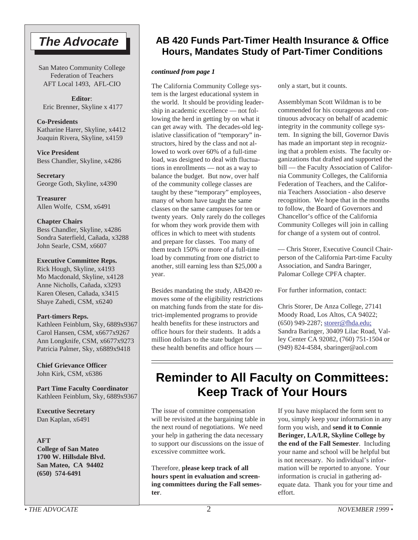# <span id="page-1-0"></span>**The Advocate**

San Mateo Community College Federation of Teachers AFT Local 1493, AFL-CIO

**Editor**: Eric Brenner, Skyline x 4177

**Co-Presidents** Katharine Harer, Skyline, x4412 Joaquin Rivera, Skyline, x4159

**Vice President** Bess Chandler, Skyline, x4286

**Secretary** George Goth, Skyline, x4390

**Treasurer** Allen Wolfe, CSM, x6491

### **Chapter Chairs**

Bess Chandler, Skyline, x4286 Sondra Saterfield, Cañada, x3288 John Searle, CSM, x6607

### **Executive Committee Reps.**

Rick Hough, Skyline, x4193 Mo Macdonald, Skyline, x4128 Anne Nicholls, Cañada, x3293 Karen Olesen, Cañada, x3415 Shaye Zahedi, CSM, x6240

### **Part-timers Reps.**

Kathleen Feinblum, Sky, 6889x9367 Carol Hansen, CSM, x6677x9267 Ann Longknife, CSM, x6677x9273 Patricia Palmer, Sky, x6889x9418

**Chief Grievance Officer** John Kirk, CSM, x6386

**Part Time Faculty Coordinator** Kathleen Feinblum, Sky, 6889x9367

**Executive Secretary** Dan Kaplan, x6491

### **AFT**

**College of San Mateo 1700 W. Hillsdale Blvd. San Mateo, CA 94402 (650) 574-6491**

## **AB 420 Funds Part-Timer Health Insurance & Office Hours, Mandates Study of Part-Timer Conditions**

### *continued from page 1*

The California Community College system is the largest educational system in the world. It should be providing leadership in academic excellence — not following the herd in getting by on what it can get away with. The decades-old legislative classification of "temporary" instructors, hired by the class and not allowed to work over 60% of a full-time load, was designed to deal with fluctuations in enrollments — not as a way to balance the budget. But now, over half of the community college classes are taught by these "temporary" employees, many of whom have taught the same classes on the same campuses for ten or twenty years. Only rarely do the colleges for whom they work provide them with offices in which to meet with students and prepare for classes. Too many of them teach 150% or more of a full-time load by commuting from one district to another, still earning less than \$25,000 a year.

Besides mandating the study, AB420 removes some of the eligibility restrictions on matching funds from the state for district-implemented programs to provide health benefits for these instructors and office hours for their students. It adds a million dollars to the state budget for these health benefits and office hours —

only a start, but it counts.

Assemblyman Scott Wildman is to be commended for his courageous and continuous advocacy on behalf of academic integrity in the community college system. In signing the bill, Governor Davis has made an important step in recognizing that a problem exists. The faculty organizations that drafted and supported the bill — the Faculty Association of California Community Colleges, the California Federation of Teachers, and the California Teachers Association - also deserve recognition. We hope that in the months to follow, the Board of Governors and Chancellor's office of the California Community Colleges will join in calling for change of a system out of control.

— Chris Storer, Executive Council Chairperson of the California Part-time Faculty Association, and Sandra Baringer, Palomar College CPFA chapter.

For further information, contact:

Chris Storer, De Anza College, 27141 Moody Road, Los Altos, CA 94022; (650) 949-2287; storer@fhda.edu; Sandra Baringer, 30409 Lilac Road, Valley Center CA 92082, (760) 751-1504 or (949) 824-4584, sbaringer@aol.com

# **Reminder to All Faculty on Committees: Keep Track of Your Hours**

The issue of committee compensation will be revisited at the bargaining table in the next round of negotiations. We need your help in gathering the data necessary to support our discussions on the issue of excessive committee work.

Therefore, **please keep track of all hours spent in evaluation and screening committees during the Fall semester**.

If you have misplaced the form sent to you, simply keep your information in any form you wish, and **send it to Connie Beringer, LA/LR, Skyline College by the end of the Fall Semester**. Including your name and school will be helpful but is not necessary. No individual's information will be reported to anyone. Your information is crucial in gathering adequate data. Thank you for your time and effort.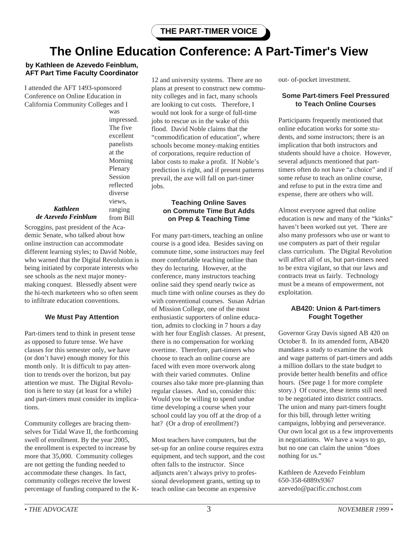# **The Online Education Conference: A Part-Timer's View**

### **by Kathleen de Azevedo Feinblum, AFT Part Time Faculty Coordinator**

I attended the AFT 1493-sponsored Conference on Online Education in California Community Colleges and I

was impressed. The five excellent panelists at the Morning Plenary Session reflected diverse views, ranging from Bill

### *Kathleen de Azevedo Feinblum*

Scroggins, past president of the Academic Senate, who talked about how online instruction can accommodate different learning styles; to David Noble, who warned that the Digital Revolution is being initiated by corporate interests who see schools as the next major moneymaking conquest. Blessedly absent were the hi-tech marketeers who so often seem to infiltrate education conventions.

### **We Must Pay Attention**

Part-timers tend to think in present tense as opposed to future tense. We have classes for this semester only, we have (or don't have) enough money for this month only. It is difficult to pay attention to trends over the horizon, but pay attention we must. The Digital Revolution is here to stay (at least for a while) and part-timers must consider its implications.

Community colleges are bracing themselves for Tidal Wave II, the forthcoming swell of enrollment. By the year 2005, the enrollment is expected to increase by more that 35,000. Community colleges are not getting the funding needed to accommodate these changes. In fact, community colleges receive the lowest percentage of funding compared to the K-

12 and university systems. There are no plans at present to construct new community colleges and in fact, many schools are looking to cut costs. Therefore, I would not look for a surge of full-time jobs to rescue us in the wake of this flood. David Noble claims that the "commodification of education", where schools become money-making entities of corporations, require reduction of labor costs to make a profit. If Noble's prediction is right, and if present patterns prevail, the axe will fall on part-timer jobs.

### **Teaching Online Saves on Commute Time But Adds on Prep & Teaching Time**

For many part-timers, teaching an online course is a good idea. Besides saving on commute time, some instructors may feel more comfortable teaching online than they do lecturing. However, at the conference, many instructors teaching online said they spend nearly twice as much time with online courses as they do with conventional courses. Susan Adrian of Mission College, one of the most enthusiastic supporters of online education, admits to clocking in 7 hours a day with her four English classes. At present, there is no compensation for working overtime. Therefore, part-timers who choose to teach an online course are faced with even more overwork along with their varied commutes. Online courses also take more pre-planning than regular classes. And so, consider this: Would you be willing to spend undue time developing a course when your school could lay you off at the drop of a hat? (Or a drop of enrollment?)

Most teachers have computers, but the set-up for an online course requires extra equipment, and tech support, and the cost often falls to the instructor. Since adjuncts aren't always privy to professional development grants, setting up to teach online can become an expensive

out- of-pocket investment.

### **Some Part-timers Feel Pressured to Teach Online Courses**

Participants frequently mentioned that online education works for some students, and some instructors; there is an implication that both instructors and students should have a choice. However, several adjuncts mentioned that parttimers often do not have "a choice" and if some refuse to teach an online course, and refuse to put in the extra time and expense, there are others who will.

Almost everyone agreed that online education is new and many of the "kinks" haven't been worked out yet. There are also many professors who use or want to use computers as part of their regular class curriculum. The Digital Revolution will affect all of us, but part-timers need to be extra vigilant, so that our laws and contracts treat us fairly. Technology must be a means of empowerment, not exploitation.

### **AB420: Union & Part-timers Fought Together**

Governor Gray Davis signed AB 420 on October 8. In its amended form, AB420 mandates a study to examine the work and wage patterns of part-timers and adds a million dollars to the state budget to provide better health benefits and office hours. (See page 1 for more complete story.) Of course, these items still need to be negotiated into district contracts. The union and many part-timers fought for this bill, through letter writing campaigns, lobbying and perseverance. Our own local got us a few improvements in negotiations. We have a ways to go, but no one can claim the union "does nothing for us."

Kathleen de Azevedo Feinblum 650-358-6889x9367 azevedo@pacific.cnchost.com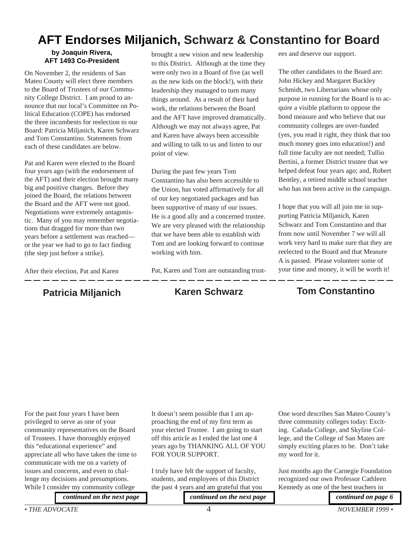# **AFT Endorses Miljanich, Schwarz & Constantino for Board**

### **by Joaquin Rivera, AFT 1493 Co-President**

On November 2, the residents of San Mateo County will elect three members to the Board of Trustees of our Community College District. I am proud to announce that our local's Committee on Political Education (COPE) has endorsed the three incumbents for reelection to our Board: Patricia Miljanich, Karen Schwarz and Tom Constantino. Statements from each of these candidates are below.

Pat and Karen were elected to the Board four years ago (with the endorsement of the AFT) and their election brought many big and positive changes. Before they joined the Board, the relations between the Board and the AFT were not good. Negotiations were extremely antagonistic. Many of you may remember negotiations that dragged for more than two years before a settlement was reached or the year we had to go to fact finding (the step just before a strike).

After their election, Pat and Karen

# **Patricia Miljanich Karen Schwarz**

brought a new vision and new leadership to this District. Although at the time they were only two in a Board of five (as well as the new kids on the block!), with their leadership they managed to turn many things around. As a result of their hard work, the relations between the Board and the AFT have improved dramatically. Although we may not always agree, Pat and Karen have always been accessible and willing to talk to us and listen to our point of view.

During the past few years Tom Constantino has also been accessible to the Union, has voted affirmatively for all of our key negotiated packages and has been supportive of many of our issues. He is a good ally and a concerned trustee. We are very pleased with the relationship that we have been able to establish with Tom and are looking forward to continue working with him.

Pat, Karen and Tom are outstanding trust-

ees and deserve our support.

The other candidates to the Board are: John Hickey and Margaret Buckley Schmidt, two Libertarians whose only purpose in running for the Board is to acquire a visible platform to oppose the bond measure and who believe that our community colleges are over-funded (yes, you read it right, they think that too much money goes into education!) and full time faculty are not needed; Tullio Bertini, a former District trustee that we helped defeat four years ago; and, Robert Bentley, a retired middle school teacher who has not been active in the campaign.

I hope that you will all join me in supporting Patricia Miljanich, Karen Schwarz and Tom Constantino and that from now until November 7 we will all work very hard to make sure that they are reelected to the Board and that Measure A is passed. Please volunteer some of your time and money, it will be worth it!

# **Tom Constantino**

For the past four years I have been privileged to serve as one of your community representatives on the Board of Trustees. I have thoroughly enjoyed this "educational experience" and appreciate all who have taken the time to communicate with me on a variety of issues and concerns, and even to challenge my decisions and presumptions. While I consider my community college

It doesn't seem possible that I am approaching the end of my first term as your elected Trustee. I am going to start off this article as I ended the last one 4 years ago by THANKING ALL OF YOU FOR YOUR SUPPORT.

I truly have felt the support of faculty, students, and employees of this District the past 4 years and am grateful that you

*[continued on the next page](#page-4-0) [continued on the next page](#page-4-0)*

One word describes San Mateo County's three community colleges today: Exciting. Cañada College, and Skyline College, and the College of San Mateo are simply exciting places to be. Don't take my word for it.

Just months ago the Carnegie Foundation recognized our own Professor Cathleen Kennedy as one of the best teachers in

*[continued on page 6](#page-5-0)*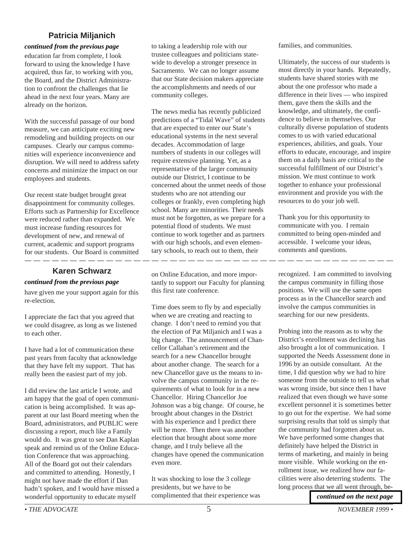### **Patricia Miljanich**

### <span id="page-4-0"></span>*continued from the previous page*

education far from complete, I look forward to using the knowledge I have acquired, thus far, to working with you, the Board, and the District Administration to confront the challenges that lie ahead in the next four years. Many are already on the horizon.

With the successful passage of our bond measure, we can anticipate exciting new remodeling and building projects on our campuses. Clearly our campus communities will experience inconvenience and disruption. We will need to address safety concerns and minimize the impact on our employees and students.

Our recent state budget brought great disappointment for community colleges. Efforts such as Partnership for Excellence were reduced rather than expanded. We must increase funding resources for development of new, and renewal of current, academic and support programs for our students. Our Board is committed

### **Karen Schwarz**

### *continued from the previous page*

have given me your support again for this re-election.

I appreciate the fact that you agreed that we could disagree, as long as we listened to each other.

I have had a lot of communication these past years from faculty that acknowledge that they have felt my support. That has really been the easiest part of my job.

I did review the last article I wrote, and am happy that the goal of open communication is being accomplished. It was apparent at our last Board meeting when the Board, administrators, and PUBLIC were discussing a report, much like a Family would do. It was great to see Dan Kaplan speak and remind us of the Online Education Conference that was approaching. All of the Board got out their calendars and committed to attending. Honestly, I might not have made the effort if Dan hadn't spoken, and I would have missed a wonderful opportunity to educate myself

to taking a leadership role with our trustee colleagues and politicians statewide to develop a stronger presence in Sacramento. We can no longer assume that our State decision makers appreciate the accomplishments and needs of our community colleges.

The news media has recently publicized predictions of a "Tidal Wave" of students that are expected to enter our State's educational systems in the next several decades. Accommodation of large numbers of students in our colleges will require extensive planning. Yet, as a representative of the larger community outside our District, I continue to be concerned about the unmet needs of those students who are not attending our colleges or frankly, even completing high school. Many are minorities. Their needs must not be forgotten, as we prepare for a potential flood of students. We must continue to work together and as partners with our high schools, and even elementary schools, to reach out to them, their

on Online Education, and more importantly to support our Faculty for planning this first rate conference.

Time does seem to fly by and especially when we are creating and reacting to change. I don't need to remind you that the election of Pat Miljanich and I was a big change. The announcement of Chancellor Callahan's retirement and the search for a new Chancellor brought about another change. The search for a new Chancellor gave us the means to involve the campus community in the requirements of what to look for in a new Chancellor. Hiring Chancellor Joe Johnson was a big change. Of course, he brought about changes in the District with his experience and I predict there will be more. Then there was another election that brought about some more change, and I truly believe all the changes have opened the communication even more.

It was shocking to lose the 3 college presidents, but we have to be complimented that their experience was families, and communities.

Ultimately, the success of our students is most directly in your hands. Repeatedly, students have shared stories with me about the one professor who made a difference in their lives — who inspired them, gave them the skills and the knowledge, and ultimately, the confidence to believe in themselves. Our culturally diverse population of students comes to us with varied educational experiences, abilities, and goals. Your efforts to educate, encourage, and inspire them on a daily basis are critical to the successful fulfillment of our District's mission. We must continue to work together to enhance your professional environment and provide you with the resources to do your job well.

Thank you for this opportunity to communicate with you. I remain committed to being open-minded and accessible. I welcome your ideas, comments and questions.

recognized. I am committed to involving the campus community in filling those positions. We will use the same open process as in the Chancellor search and involve the campus communities in searching for our new presidents.

\_ \_ \_ \_ \_ \_ \_ \_ \_

Probing into the reasons as to why the District's enrollment was declining has also brought a lot of communication. I supported the Needs Assessment done in 1996 by an outside consultant. At the time, I did question why we had to hire someone from the outside to tell us what was wrong inside, but since then I have realized that even though we have some excellent personnel it is sometimes better to go out for the expertise. We had some surprising results that told us simply that the community had forgotten about us. We have performed some changes that definitely have helped the District in terms of marketing, and mainly in being more visible. While working on the enrollment issue, we realized how our facilities were also deterring students. The long process that we all went through, be-

*[continued on the next page](#page-5-0)*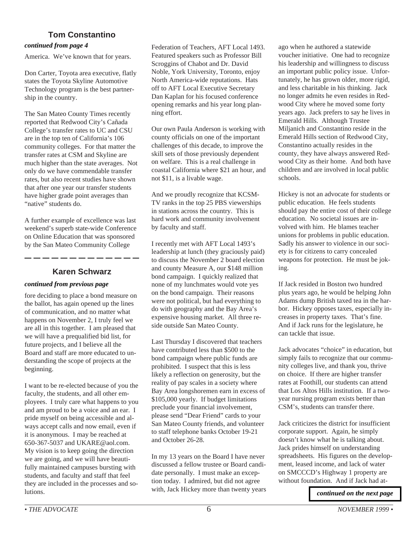### **Tom Constantino**

### <span id="page-5-0"></span>*continued from page 4*

America. We've known that for years.

Don Carter, Toyota area executive, flatly states the Toyota Skyline Automotive Technology program is the best partnership in the country.

The San Mateo County Times recently reported that Redwood City's Cañada College's transfer rates to UC and CSU are in the top ten of California's 106 community colleges. For that matter the transfer rates at CSM and Skyline are much higher than the state averages. Not only do we have commendable transfer rates, but also recent studies have shown that after one year our transfer students have higher grade point averages than "native" students do.

A further example of excellence was last weekend's superb state-wide Conference on Online Education that was sponsored by the San Mateo Community College

### **Karen Schwarz**

### *continued from previous page*

fore deciding to place a bond measure on the ballot, has again opened up the lines of communication, and no matter what happens on November 2, I truly feel we are all in this together. I am pleased that we will have a prequalified bid list, for future projects, and I believe all the Board and staff are more educated to understanding the scope of projects at the beginning.

I want to be re-elected because of you the faculty, the students, and all other employees. I truly care what happens to you and am proud to be a voice and an ear. I pride myself on being accessible and always accept calls and now email, even if it is anonymous. I may be reached at 650-367-5037 and UKARE@aol.com. My vision is to keep going the direction we are going, and we will have beautifully maintained campuses bursting with students, and faculty and staff that feel they are included in the processes and solutions.

Federation of Teachers, AFT Local 1493. Featured speakers such as Professor Bill Scroggins of Chabot and Dr. David Noble, York University, Toronto, enjoy North America-wide reputations. Hats off to AFT Local Executive Secretary Dan Kaplan for his focused conference opening remarks and his year long planning effort.

Our own Paula Anderson is working with county officials on one of the important challenges of this decade, to improve the skill sets of those previously dependent on welfare. This is a real challenge in coastal California where \$21 an hour, and not \$11, is a livable wage.

And we proudly recognize that KCSM-TV ranks in the top 25 PBS viewerships in stations across the country. This is hard work and community involvement by faculty and staff.

I recently met with AFT Local 1493's leadership at lunch (they graciously paid) to discuss the November 2 board election and county Measure A, our \$148 million bond campaign. I quickly realized that none of my lunchmates would vote yes on the bond campaign. Their reasons were not political, but had everything to do with geography and the Bay Area's expensive housing market. All three reside outside San Mateo County.

Last Thursday I discovered that teachers have contributed less than \$500 to the bond campaign where public funds are prohibited. I suspect that this is less likely a reflection on generosity, but the reality of pay scales in a society where Bay Area longshoremen earn in excess of \$105,000 yearly. If budget limitations preclude your financial involvement, please send "Dear Friend" cards to your San Mateo County friends, and volunteer to staff telephone banks October 19-21 and October 26-28.

In my 13 years on the Board I have never discussed a fellow trustee or Board candidate personally. I must make an exception today. I admired, but did not agree with, Jack Hickey more than twenty years ago when he authored a statewide voucher initiative. One had to recognize his leadership and willingness to discuss an important public policy issue. Unfortunately, he has grown older, more rigid, and less charitable in his thinking. Jack no longer admits he even resides in Redwood City where he moved some forty years ago. Jack prefers to say he lives in Emerald Hills. Although Trustee Miljanich and Constantino reside in the Emerald Hills section of Redwood City, Constantino actually resides in the county, they have always answered Redwood City as their home. And both have children and are involved in local public schools.

Hickey is not an advocate for students or public education. He feels students should pay the entire cost of their college education. No societal issues are involved with him. He blames teacher unions for problems in public education. Sadly his answer to violence in our society is for citizens to carry concealed weapons for protection. He must be joking.

If Jack resided in Boston two hundred plus years ago, he would be helping John Adams dump British taxed tea in the harbor. Hickey opposes taxes, especially increases in property taxes. That's fine. And if Jack runs for the legislature, he can tackle that issue.

Jack advocates "choice" in education, but simply fails to recognize that our community colleges live, and thank you, thrive on choice. If there are higher transfer rates at Foothill, our students can attend that Los Altos Hills institution. If a twoyear nursing program exists better than CSM's, students can transfer there.

Jack criticizes the district for insufficient corporate support. Again, he simply doesn't know what he is talking about. Jack prides himself on understanding spreadsheets. His figures on the development, leased income, and lack of water on SMCCCD's Highway 1 property are without foundation. And if Jack had at-

*[continued on the next page](#page-6-0)*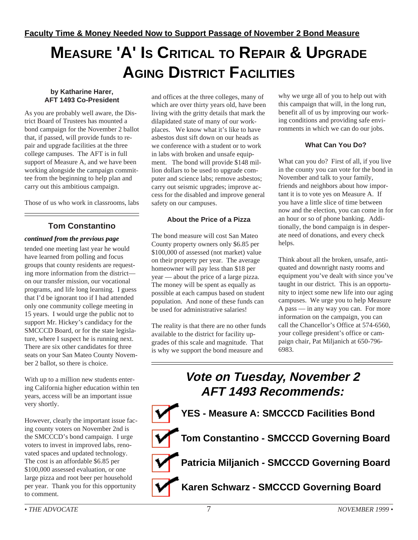# <span id="page-6-0"></span>**MEASURE 'A' IS CRITICAL TO REPAIR & UPGRADE AGING DISTRICT FACILITIES**

### **by Katharine Harer, AFT 1493 Co-President**

As you are probably well aware, the District Board of Trustees has mounted a bond campaign for the November 2 ballot that, if passed, will provide funds to repair and upgrade facilities at the three college campuses. The AFT is in full support of Measure A, and we have been working alongside the campaign committee from the beginning to help plan and carry out this ambitious campaign.

Those of us who work in classrooms, labs

### **Tom Constantino**

### *continued from the previous page*

tended one meeting last year he would have learned from polling and focus groups that county residents are requesting more information from the district on our transfer mission, our vocational programs, and life long learning. I guess that I'd be ignorant too if I had attended only one community college meeting in 15 years. I would urge the public not to support Mr. Hickey's candidacy for the SMCCCD Board, or for the state legislature, where I suspect he is running next. There are six other candidates for three seats on your San Mateo County November 2 ballot, so there is choice.

With up to a million new students entering California higher education within ten years, access will be an important issue very shortly.

However, clearly the important issue facing county voters on November 2nd is the SMCCCD's bond campaign. I urge voters to invest in improved labs, renovated spaces and updated technology. The cost is an affordable \$6.85 per \$100,000 assessed evaluation, or one large pizza and root beer per household per year. Thank you for this opportunity to comment.

and offices at the three colleges, many of which are over thirty years old, have been living with the gritty details that mark the dilapidated state of many of our workplaces. We know what it's like to have asbestos dust sift down on our heads as we conference with a student or to work in labs with broken and unsafe equipment. The bond will provide \$148 million dollars to be used to upgrade computer and science labs; remove asbestos; carry out seismic upgrades; improve access for the disabled and improve general safety on our campuses.

### **About the Price of a Pizza**

The bond measure will cost San Mateo County property owners only \$6.85 per \$100,000 of assessed (not market) value on their property per year. The average homeowner will pay less than \$18 per year — about the price of a large pizza. The money will be spent as equally as possible at each campus based on student population. And none of these funds can be used for administrative salaries!

The reality is that there are no other funds available to the district for facility upgrades of this scale and magnitude. That is why we support the bond measure and

why we urge all of you to help out with this campaign that will, in the long run, benefit all of us by improving our working conditions and providing safe environments in which we can do our jobs.

### **What Can You Do?**

What can you do? First of all, if you live in the county you can vote for the bond in November and talk to your family, friends and neighbors about how important it is to vote yes on Measure A. If you have a little slice of time between now and the election, you can come in for an hour or so of phone banking. Additionally, the bond campaign is in desperate need of donations, and every check helps.

Think about all the broken, unsafe, antiquated and downright nasty rooms and equipment you've dealt with since you've taught in our district. This is an opportunity to inject some new life into our aging campuses. We urge you to help Measure A pass — in any way you can. For more information on the campaign, you can call the Chancellor's Office at 574-6560, your college president's office or campaign chair, Pat Miljanich at 650-796- 6983.